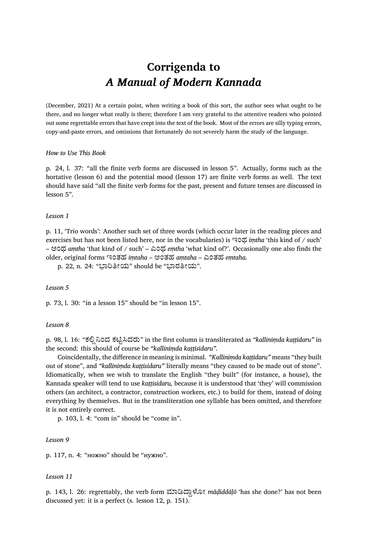# **Corrigenda to** *A Manual of Modern Kannada*

(December, 2021) At a certain point, when writing a book of this sort, the author sees what ought to be there, and no longer what really is there; therefore I am very grateful to the attentive readers who pointed out some regrettable errors that have crept into the text of the book. Most of the errors are silly typing errors, copy-and-paste errors, and omissions that fortunately do not severely harm the study of the language.

# *How to Use This Book*

p. 24, l. 37: "all the finite verb forms are discussed in lesson 5". Actually, forms such as the hortative (lesson 6) and the potential mood (lesson 17) are finite verb forms as well. The text should have said "all the finite verb forms for the past, present and future tenses are discussed in lesson 5".

#### *Lesson 1*

p. 11, 'Trio words': Another such set of three words (which occur later in the reading pieces and exercises but has not been listed here, nor in the vocabularies) is ಇಂಥ *iṃtha* 'this kind of / such' – ಅಂಥ *aṃtha* 'that kind of / such' – ಎಂಥ *eṃtha* 'what kind of?'. Occasionally one also finds the older, original forms ಇಂತಹ *iṃtaha* – ಅಂತಹ *aṃtaha* – ಎಂತಹ *eṃtaha.*

p. 22, n. 24: "ಭಾರಿತೀಯ" should be "ಭಾರತೀಯ".

#### *Lesson 5*

p. 73, l. 30: "in a lesson 15" should be "in lesson 15".

# *Lesson 8*

p. 98, l. 16: "ಕಲಿಲ್ನಿಂದ ಕಟಿಟ್ಸಿದರು" in the first column is transliterated as *"kalliniṃda kaṭṭidaru"* in the second: this should of course be *"kalliniṃda kaṭṭisidaru".*

Coincidentally, the difference in meaning is minimal. *"Kalliniṃda kaṭṭidaru"* means "they built out of stone", and *"kalliniṃda kaṭṭisidaru"* literally means "they caused to be made out of stone". Idiomatically, when we wish to translate the English "they built" (for instance, a house), the Kannada speaker will tend to use *kaṭṭisidaru,* because it is understood that 'they' will commission others (an architect, a contractor, construction workers, etc.) to build for them, instead of doing everything by themselves. But in the transliteration one syllable has been omitted, and therefore it is not entirely correct.

p. 103, l. 4: "com in" should be "come in".

#### *Lesson 9*

p. 117, n. 4: "ножно" should be "нужно".

#### *Lesson 11*

p. 143, l. 26: regrettably, the verb form ಮಾಡಿದ್ದಾಳೋ mādiddālō 'has she done?' has not been discussed yet: it is a perfect (s. lesson 12, p. 151).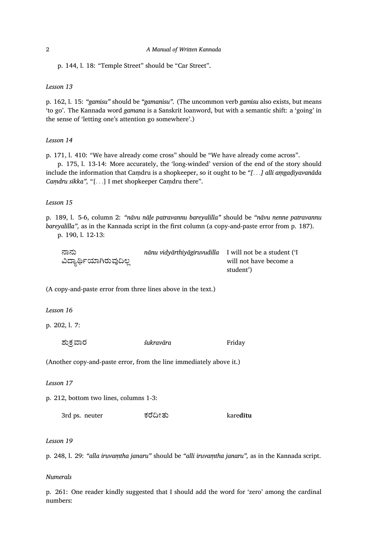p. 144, l. 18: "Temple Street" should be "Car Street".

*Lesson 13*

p. 162, l. 15: *"gamisu"* should be *"gamanisu".* (The uncommon verb *gamisu* also exists, but means 'to go'. The Kannada word *gamana* is a Sanskrit loanword, but with a semantic shift: a 'going' in the sense of 'letting one's attention go somewhere'.)

*Lesson 14*

p. 171, l. 410: "We have already come cross" should be "We have already come across".

p. 175, l. 13-14: More accurately, the 'long-winded' version of the end of the story should include the information that Caṃdru is a shopkeeper, so it ought to be *"[. . .] alli aṃgaḍiyavanāda Caṃdru sikka",* "[*. . .*] I met shopkeeper Caṃdru there".

*Lesson 15*

p. 189, l. 5-6, column 2: *"nāvu nāḷe patravannu bareyalilla"* should be *"nāvu nenne patravannu bareyalilla",* as in the Kannada script in the first column (a copy-and-paste error from p. 187). p. 190, l. 12-13:

ಾನು ವಿದ್ಯಾರ್ಥಿಯಾಗಿರುವುದಿಲ್ಲ *nānu vidyārthiyāgiruvudilla* I will not be a student ('I will not have become a student')

(A copy-and-paste error from three lines above in the text.)

*Lesson 16*

p. 202, l. 7:

ಶುಕ್ರವಾರ *śukravāra* Friday

(Another copy-and-paste error, from the line immediately above it.)

*Lesson 17*

p. 212, bottom two lines, columns 1-3:

3rd ps. neuter ಕೆದೀತು kare**dītu**

*Lesson 19*

p. 248, l. 29: *"alla iruvaṃtha janaru"* should be *"alli iruvaṃtha janaru",* as in the Kannada script.

*Numerals*

p. 261: One reader kindly suggested that I should add the word for 'zero' among the cardinal numbers: